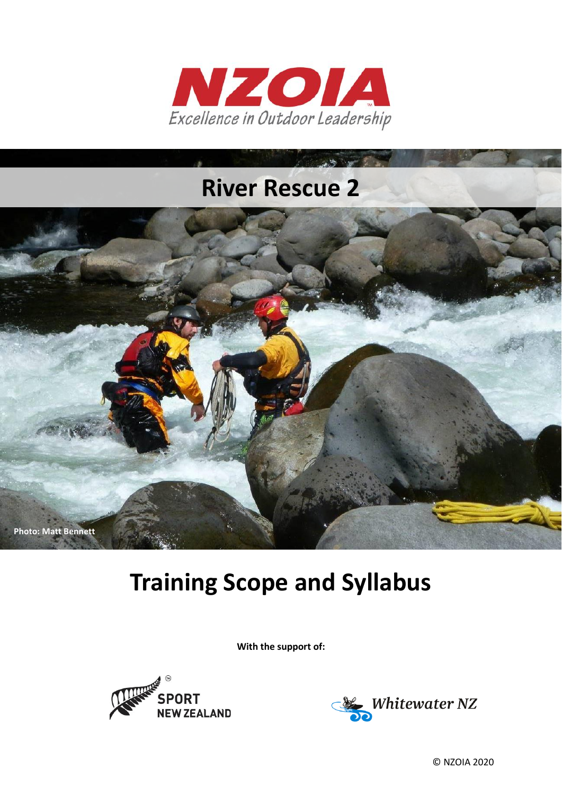

# **River Rescue 2**



# **Training Scope and Syllabus**

**With the support of:**





© NZOIA 2020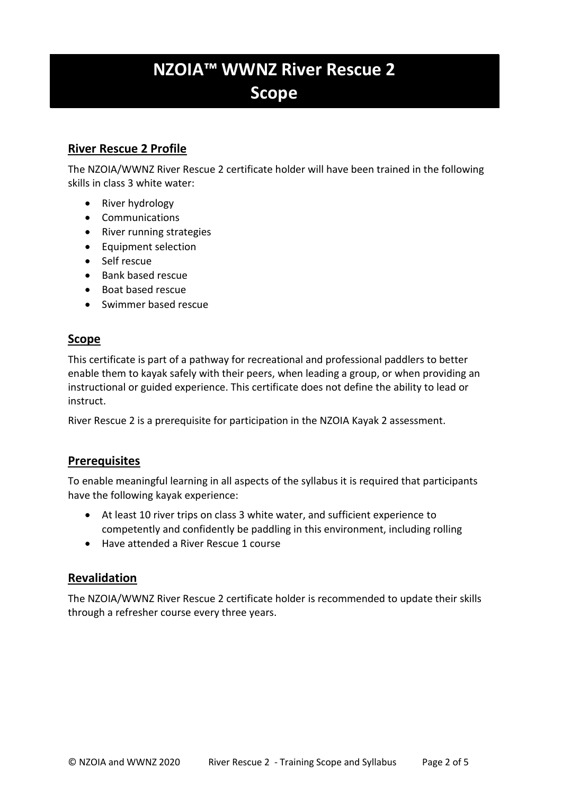# **NZOIA™ WWNZ River Rescue 2 Scope**

## **River Rescue 2 Profile**

The NZOIA/WWNZ River Rescue 2 certificate holder will have been trained in the following skills in class 3 white water:

- River hydrology
- Communications
- River running strategies
- Equipment selection
- Self rescue
- Bank based rescue
- Boat based rescue
- Swimmer based rescue

# **Scope**

This certificate is part of a pathway for recreational and professional paddlers to better enable them to kayak safely with their peers, when leading a group, or when providing an instructional or guided experience. This certificate does not define the ability to lead or instruct.

River Rescue 2 is a prerequisite for participation in the NZOIA Kayak 2 assessment.

## **Prerequisites**

To enable meaningful learning in all aspects of the syllabus it is required that participants have the following kayak experience:

- At least 10 river trips on class 3 white water, and sufficient experience to competently and confidently be paddling in this environment, including rolling
- Have attended a River Rescue 1 course

## **Revalidation**

The NZOIA/WWNZ River Rescue 2 certificate holder is recommended to update their skills through a refresher course every three years.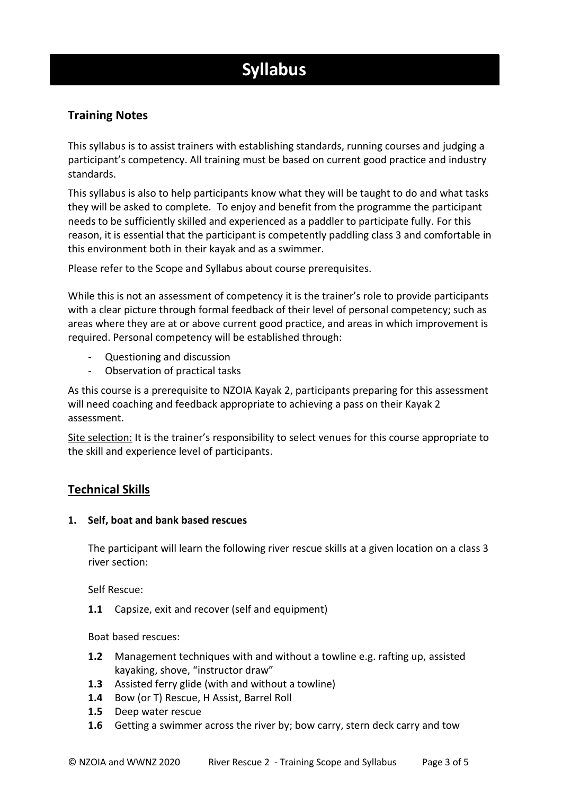# **Syllabus**

# **Training Notes**

This syllabus is to assist trainers with establishing standards, running courses and judging a participant's competency. All training must be based on current good practice and industry standards.

This syllabus is also to help participants know what they will be taught to do and what tasks they will be asked to complete. To enjoy and benefit from the programme the participant needs to be sufficiently skilled and experienced as a paddler to participate fully. For this reason, it is essential that the participant is competently paddling class 3 and comfortable in this environment both in their kayak and as a swimmer.

Please refer to the Scope and Syllabus about course prerequisites.

While this is not an assessment of competency it is the trainer's role to provide participants with a clear picture through formal feedback of their level of personal competency; such as areas where they are at or above current good practice, and areas in which improvement is required. Personal competency will be established through:

- Questioning and discussion
- Observation of practical tasks

As this course is a prerequisite to NZOIA Kayak 2, participants preparing for this assessment will need coaching and feedback appropriate to achieving a pass on their Kayak 2 assessment.

Site selection: It is the trainer's responsibility to select venues for this course appropriate to the skill and experience level of participants.

## **Technical Skills**

#### **1. Self, boat and bank based rescues**

The participant will learn the following river rescue skills at a given location on a class 3 river section:

Self Rescue:

**1.1** Capsize, exit and recover (self and equipment)

Boat based rescues:

- **1.2** Management techniques with and without a towline e.g. rafting up, assisted kayaking, shove, "instructor draw"
- **1.3** Assisted ferry glide (with and without a towline)
- **1.4** Bow (or T) Rescue, H Assist, Barrel Roll
- **1.5** Deep water rescue
- **1.6** Getting a swimmer across the river by; bow carry, stern deck carry and tow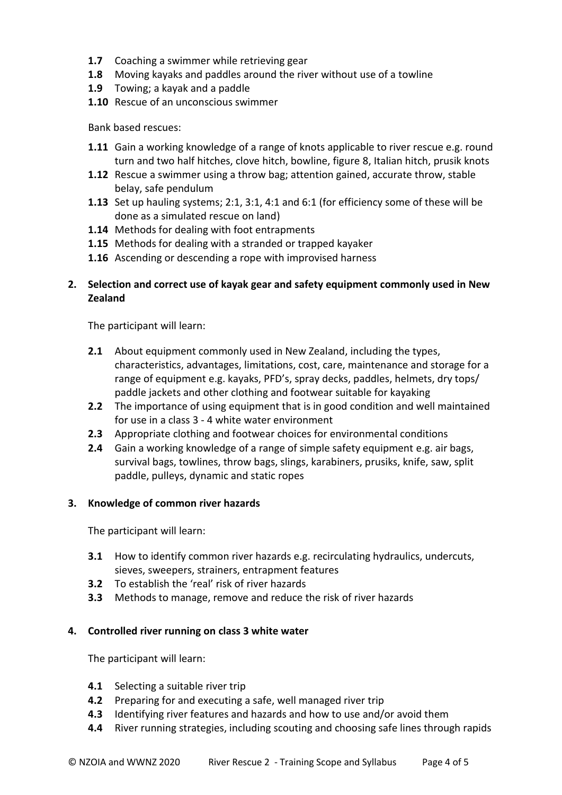- **1.7** Coaching a swimmer while retrieving gear
- **1.8** Moving kayaks and paddles around the river without use of a towline
- **1.9** Towing; a kayak and a paddle
- **1.10** Rescue of an unconscious swimmer

Bank based rescues:

- **1.11** Gain a working knowledge of a range of knots applicable to river rescue e.g. round turn and two half hitches, clove hitch, bowline, figure 8, Italian hitch, prusik knots
- **1.12** Rescue a swimmer using a throw bag; attention gained, accurate throw, stable belay, safe pendulum
- **1.13** Set up hauling systems; 2:1, 3:1, 4:1 and 6:1 (for efficiency some of these will be done as a simulated rescue on land)
- **1.14** Methods for dealing with foot entrapments
- **1.15** Methods for dealing with a stranded or trapped kayaker
- **1.16** Ascending or descending a rope with improvised harness

#### **2. Selection and correct use of kayak gear and safety equipment commonly used in New Zealand**

The participant will learn:

- **2.1** About equipment commonly used in New Zealand, including the types, characteristics, advantages, limitations, cost, care, maintenance and storage for a range of equipment e.g. kayaks, PFD's, spray decks, paddles, helmets, dry tops/ paddle jackets and other clothing and footwear suitable for kayaking
- **2.2** The importance of using equipment that is in good condition and well maintained for use in a class 3 - 4 white water environment
- **2.3** Appropriate clothing and footwear choices for environmental conditions
- **2.4** Gain a working knowledge of a range of simple safety equipment e.g. air bags, survival bags, towlines, throw bags, slings, karabiners, prusiks, knife, saw, split paddle, pulleys, dynamic and static ropes

#### **3. Knowledge of common river hazards**

The participant will learn:

- **3.1** How to identify common river hazards e.g. recirculating hydraulics, undercuts, sieves, sweepers, strainers, entrapment features
- **3.2** To establish the 'real' risk of river hazards
- **3.3** Methods to manage, remove and reduce the risk of river hazards

#### **4. Controlled river running on class 3 white water**

The participant will learn:

- **4.1** Selecting a suitable river trip
- **4.2** Preparing for and executing a safe, well managed river trip
- **4.3** Identifying river features and hazards and how to use and/or avoid them
- **4.4** River running strategies, including scouting and choosing safe lines through rapids